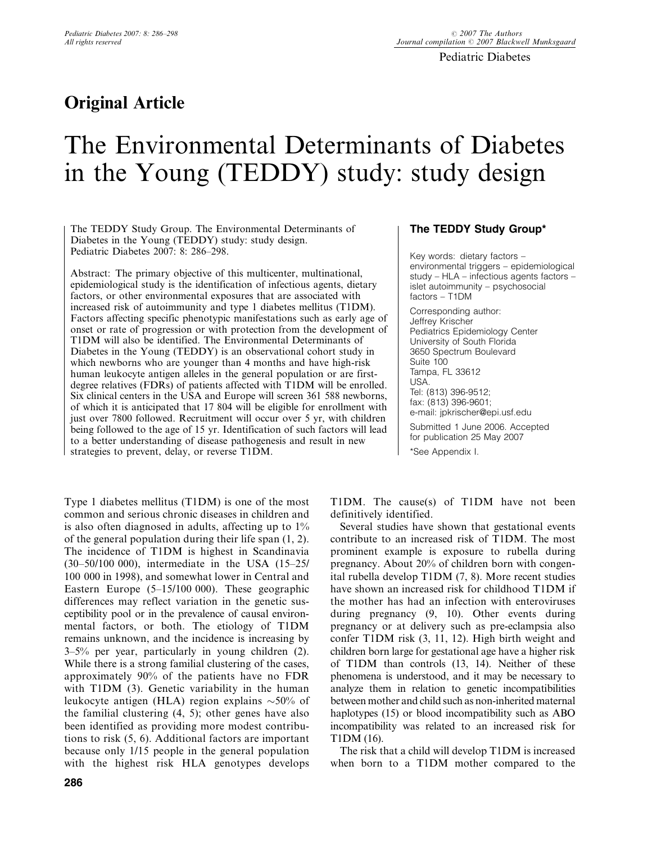Pediatric Diabetes

# Original Article

# The Environmental Determinants of Diabetes in the Young (TEDDY) study: study design

#### The TEDDY Study Group. The Environmental Determinants of Diabetes in the Young (TEDDY) study: study design. Pediatric Diabetes 2007: 8: 286–298.

Abstract: The primary objective of this multicenter, multinational, epidemiological study is the identification of infectious agents, dietary factors, or other environmental exposures that are associated with increased risk of autoimmunity and type 1 diabetes mellitus (T1DM). Factors affecting specific phenotypic manifestations such as early age of onset or rate of progression or with protection from the development of T1DM will also be identified. The Environmental Determinants of Diabetes in the Young (TEDDY) is an observational cohort study in which newborns who are younger than 4 months and have high-risk human leukocyte antigen alleles in the general population or are firstdegree relatives (FDRs) of patients affected with T1DM will be enrolled. Six clinical centers in the USA and Europe will screen 361 588 newborns, of which it is anticipated that 17 804 will be eligible for enrollment with just over 7800 followed. Recruitment will occur over 5 yr, with children being followed to the age of 15 yr. Identification of such factors will lead to a better understanding of disease pathogenesis and result in new strategies to prevent, delay, or reverse T1DM.

Type 1 diabetes mellitus (T1DM) is one of the most common and serious chronic diseases in children and is also often diagnosed in adults, affecting up to 1% of the general population during their life span (1, 2). The incidence of T1DM is highest in Scandinavia (30–50/100 000), intermediate in the USA (15–25/ 100 000 in 1998), and somewhat lower in Central and Eastern Europe (5–15/100 000). These geographic differences may reflect variation in the genetic susceptibility pool or in the prevalence of causal environmental factors, or both. The etiology of T1DM remains unknown, and the incidence is increasing by 3–5% per year, particularly in young children (2). While there is a strong familial clustering of the cases, approximately 90% of the patients have no FDR with T1DM (3). Genetic variability in the human leukocyte antigen (HLA) region explains  $\sim 50\%$  of the familial clustering (4, 5); other genes have also been identified as providing more modest contributions to risk (5, 6). Additional factors are important because only 1/15 people in the general population with the highest risk HLA genotypes develops

# The TEDDY Study Group\*

Key words: dietary factors – environmental triggers – epidemiological study – HLA – infectious agents factors – islet autoimmunity – psychosocial factors – T1DM

Corresponding author: Jeffrey Krischer Pediatrics Epidemiology Center University of South Florida 3650 Spectrum Boulevard Suite 100 Tampa, FL 33612 USA. Tel: (813) 396-9512; fax: (813) 396-9601; e-mail: jpkrischer@epi.usf.edu

Submitted 1 June 2006. Accepted for publication 25 May 2007 \*See Appendix I.

T1DM. The cause(s) of T1DM have not been definitively identified.

Several studies have shown that gestational events contribute to an increased risk of T1DM. The most prominent example is exposure to rubella during pregnancy. About 20% of children born with congenital rubella develop T1DM (7, 8). More recent studies have shown an increased risk for childhood T1DM if the mother has had an infection with enteroviruses during pregnancy (9, 10). Other events during pregnancy or at delivery such as pre-eclampsia also confer T1DM risk (3, 11, 12). High birth weight and children born large for gestational age have a higher risk of T1DM than controls (13, 14). Neither of these phenomena is understood, and it may be necessary to analyze them in relation to genetic incompatibilities between mother and child such as non-inherited maternal haplotypes (15) or blood incompatibility such as ABO incompatibility was related to an increased risk for T1DM (16).

The risk that a child will develop T1DM is increased when born to a T1DM mother compared to the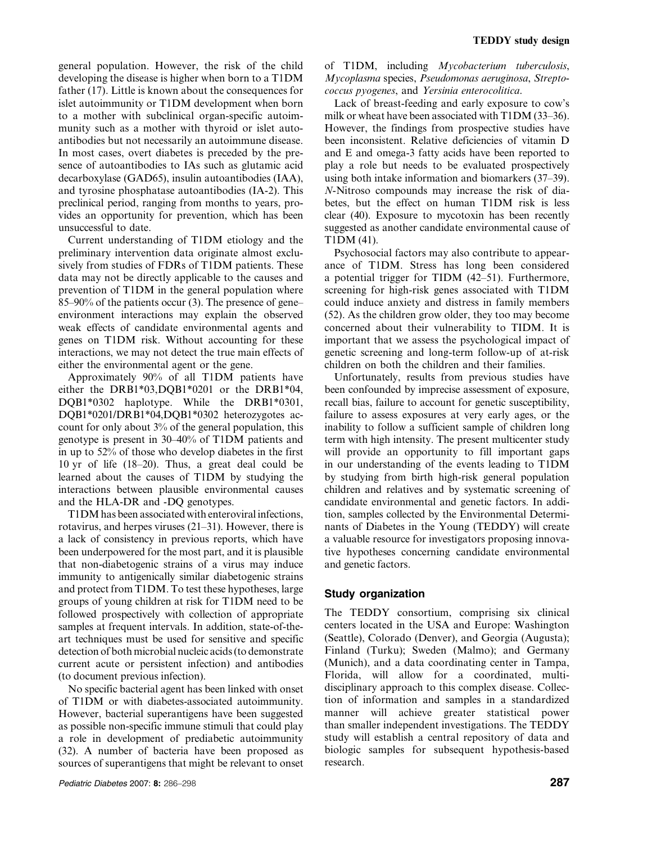general population. However, the risk of the child developing the disease is higher when born to a T1DM father (17). Little is known about the consequences for islet autoimmunity or T1DM development when born to a mother with subclinical organ-specific autoimmunity such as a mother with thyroid or islet autoantibodies but not necessarily an autoimmune disease. In most cases, overt diabetes is preceded by the presence of autoantibodies to IAs such as glutamic acid decarboxylase (GAD65), insulin autoantibodies (IAA), and tyrosine phosphatase autoantibodies (IA-2). This preclinical period, ranging from months to years, provides an opportunity for prevention, which has been unsuccessful to date.

Current understanding of T1DM etiology and the preliminary intervention data originate almost exclusively from studies of FDRs of T1DM patients. These data may not be directly applicable to the causes and prevention of T1DM in the general population where 85–90% of the patients occur (3). The presence of gene– environment interactions may explain the observed weak effects of candidate environmental agents and genes on T1DM risk. Without accounting for these interactions, we may not detect the true main effects of either the environmental agent or the gene.

Approximately 90% of all T1DM patients have either the DRB1\*03,DQB1\*0201 or the DRB1\*04, DQB1\*0302 haplotype. While the DRB1\*0301, DQB1\*0201/DRB1\*04,DQB1\*0302 heterozygotes account for only about 3% of the general population, this genotype is present in 30–40% of T1DM patients and in up to 52% of those who develop diabetes in the first 10 yr of life (18–20). Thus, a great deal could be learned about the causes of T1DM by studying the interactions between plausible environmental causes and the HLA-DR and -DQ genotypes.

T1DM has been associated with enteroviral infections, rotavirus, and herpes viruses (21–31). However, there is a lack of consistency in previous reports, which have been underpowered for the most part, and it is plausible that non-diabetogenic strains of a virus may induce immunity to antigenically similar diabetogenic strains and protect from T1DM. To test these hypotheses, large groups of young children at risk for T1DM need to be followed prospectively with collection of appropriate samples at frequent intervals. In addition, state-of-theart techniques must be used for sensitive and specific detection of both microbial nucleic acids (to demonstrate current acute or persistent infection) and antibodies (to document previous infection).

No specific bacterial agent has been linked with onset of T1DM or with diabetes-associated autoimmunity. However, bacterial superantigens have been suggested as possible non-specific immune stimuli that could play a role in development of prediabetic autoimmunity (32). A number of bacteria have been proposed as sources of superantigens that might be relevant to onset of T1DM, including Mycobacterium tuberculosis, Mycoplasma species, Pseudomonas aeruginosa, Streptococcus pyogenes, and Yersinia enterocolitica.

Lack of breast-feeding and early exposure to cow's milk or wheat have been associated with T1DM (33–36). However, the findings from prospective studies have been inconsistent. Relative deficiencies of vitamin D and E and omega-3 fatty acids have been reported to play a role but needs to be evaluated prospectively using both intake information and biomarkers (37–39). N-Nitroso compounds may increase the risk of diabetes, but the effect on human T1DM risk is less clear (40). Exposure to mycotoxin has been recently suggested as another candidate environmental cause of T1DM (41).

Psychosocial factors may also contribute to appearance of T1DM. Stress has long been considered a potential trigger for TIDM (42–51). Furthermore, screening for high-risk genes associated with T1DM could induce anxiety and distress in family members (52). As the children grow older, they too may become concerned about their vulnerability to TIDM. It is important that we assess the psychological impact of genetic screening and long-term follow-up of at-risk children on both the children and their families.

Unfortunately, results from previous studies have been confounded by imprecise assessment of exposure, recall bias, failure to account for genetic susceptibility, failure to assess exposures at very early ages, or the inability to follow a sufficient sample of children long term with high intensity. The present multicenter study will provide an opportunity to fill important gaps in our understanding of the events leading to T1DM by studying from birth high-risk general population children and relatives and by systematic screening of candidate environmental and genetic factors. In addition, samples collected by the Environmental Determinants of Diabetes in the Young (TEDDY) will create a valuable resource for investigators proposing innovative hypotheses concerning candidate environmental and genetic factors.

#### Study organization

The TEDDY consortium, comprising six clinical centers located in the USA and Europe: Washington (Seattle), Colorado (Denver), and Georgia (Augusta); Finland (Turku); Sweden (Malmo); and Germany (Munich), and a data coordinating center in Tampa, Florida, will allow for a coordinated, multidisciplinary approach to this complex disease. Collection of information and samples in a standardized manner will achieve greater statistical power than smaller independent investigations. The TEDDY study will establish a central repository of data and biologic samples for subsequent hypothesis-based research.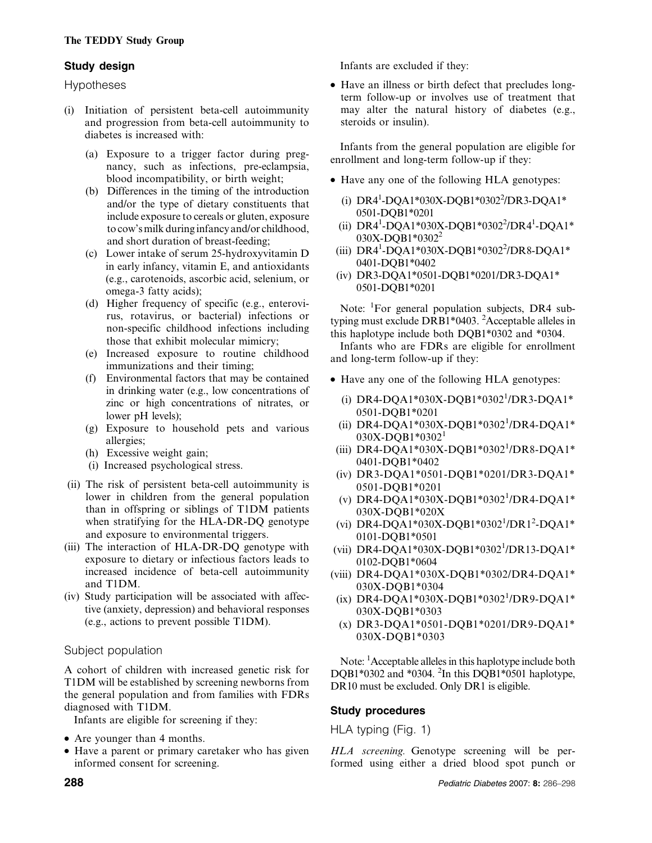# Study design

Hypotheses

- (i) Initiation of persistent beta-cell autoimmunity and progression from beta-cell autoimmunity to diabetes is increased with:
	- (a) Exposure to a trigger factor during pregnancy, such as infections, pre-eclampsia, blood incompatibility, or birth weight;
	- (b) Differences in the timing of the introduction and/or the type of dietary constituents that include exposure to cereals or gluten, exposure to cow'smilk during infancy and/or childhood, and short duration of breast-feeding;
	- (c) Lower intake of serum 25-hydroxyvitamin D in early infancy, vitamin E, and antioxidants (e.g., carotenoids, ascorbic acid, selenium, or omega-3 fatty acids);
	- (d) Higher frequency of specific (e.g., enterovirus, rotavirus, or bacterial) infections or non-specific childhood infections including those that exhibit molecular mimicry;
	- (e) Increased exposure to routine childhood immunizations and their timing;
	- (f) Environmental factors that may be contained in drinking water (e.g., low concentrations of zinc or high concentrations of nitrates, or lower pH levels);
	- (g) Exposure to household pets and various allergies;
	- (h) Excessive weight gain;
	- (i) Increased psychological stress.
- (ii) The risk of persistent beta-cell autoimmunity is lower in children from the general population than in offspring or siblings of T1DM patients when stratifying for the HLA-DR-DQ genotype and exposure to environmental triggers.
- (iii) The interaction of HLA-DR-DQ genotype with exposure to dietary or infectious factors leads to increased incidence of beta-cell autoimmunity and T1DM.
- (iv) Study participation will be associated with affective (anxiety, depression) and behavioral responses (e.g., actions to prevent possible T1DM).

# Subject population

A cohort of children with increased genetic risk for T1DM will be established by screening newborns from the general population and from families with FDRs diagnosed with T1DM.

Infants are eligible for screening if they:

- Are younger than 4 months.
- Have a parent or primary caretaker who has given informed consent for screening.

Infants are excluded if they:

• Have an illness or birth defect that precludes longterm follow-up or involves use of treatment that may alter the natural history of diabetes (e.g., steroids or insulin).

Infants from the general population are eligible for enrollment and long-term follow-up if they:

- Have any one of the following HLA genotypes:
	- (i)  $DR4^1-DQA1*030X-DQB1*0302^2/DR3-DQA1*$ 0501-DQB1\*0201
	- (ii)  $DR4^1-DQA1*030X-DQB1*0302^2/DR4^1-DQA1*$ 030X-DOB1\*0302<sup>2</sup>
	- (iii) DR4<sup>1</sup>-DQA1\*030X-DQB1\*0302<sup>2</sup>/DR8-DQA1\* 0401-DQB1\*0402
- (iv) DR3-DQA1\*0501-DQB1\*0201/DR3-DQA1\* 0501-DQB1\*0201

Note: <sup>1</sup>For general population subjects, DR4 subtyping must exclude DRB1\*0403. <sup>2</sup>Acceptable alleles in this haplotype include both DQB1\*0302 and \*0304.

Infants who are FDRs are eligible for enrollment and long-term follow-up if they:

- Have any one of the following HLA genotypes:
	- (i) DR4-DQA1\*030X-DQB1\*0302<sup>1</sup>/DR3-DQA1\* 0501-DQB1\*0201
	- (ii) DR4-DQA1\*030X-DQB1\*0302<sup>1</sup> /DR4-DQA1\* 030X-DQB1\*0302<sup>1</sup>
- (iii) DR4-DQA1\*030X-DQB1\*0302<sup>1</sup>/DR8-DQA1\* 0401-DQB1\*0402
- (iv) DR3-DQA1\*0501-DQB1\*0201/DR3-DQA1\* 0501-DQB1\*0201
- (v) DR4-DQA1\*030X-DQB1\*0302<sup>1</sup> /DR4-DQA1\* 030X-DQB1\*020X
- (vi)  $DR4-DQA1*030X-DQB1*0302<sup>1</sup>/DR1<sup>2</sup>-DQA1*$ 0101-DQB1\*0501
- (vii) DR4-DQA1\*030X-DQB1\*0302<sup>1</sup>/DR13-DQA1\* 0102-DQB1\*0604
- (viii) DR4-DQA1\*030X-DQB1\*0302/DR4-DQA1\* 030X-DQB1\*0304
- (ix) DR4-DQA1\*030X-DQB1\*0302<sup>1</sup> /DR9-DQA1\* 030X-DQB1\*0303
- (x) DR3-DQA1\*0501-DQB1\*0201/DR9-DQA1\* 030X-DQB1\*0303

Note: <sup>1</sup>Acceptable alleles in this haplotype include both DQB1\*0302 and \*0304. <sup>2</sup>In this DQB1\*0501 haplotype, DR10 must be excluded. Only DR1 is eligible.

# Study procedures

HLA typing (Fig. 1)

HLA screening. Genotype screening will be performed using either a dried blood spot punch or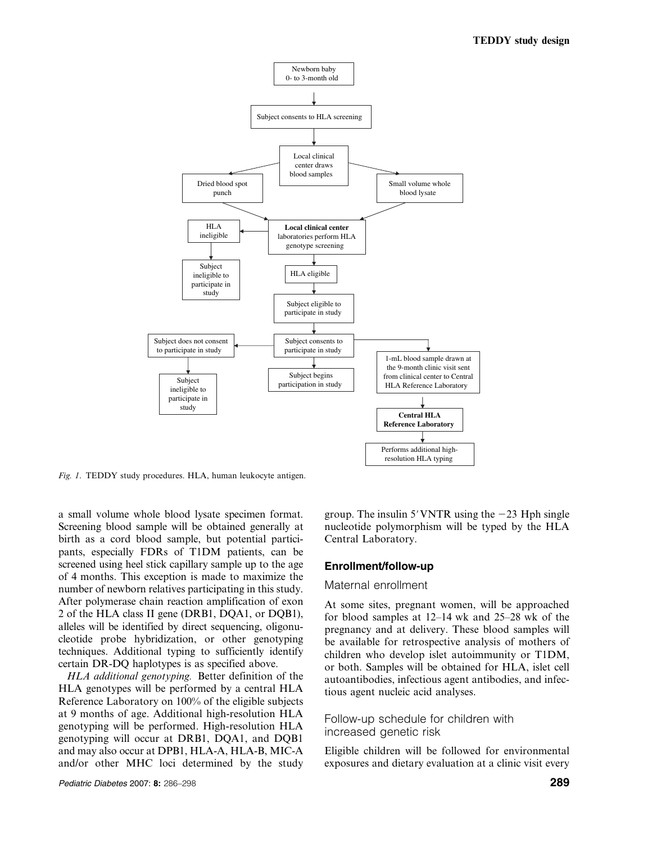

Fig. 1. TEDDY study procedures. HLA, human leukocyte antigen.

a small volume whole blood lysate specimen format. Screening blood sample will be obtained generally at birth as a cord blood sample, but potential participants, especially FDRs of T1DM patients, can be screened using heel stick capillary sample up to the age of 4 months. This exception is made to maximize the number of newborn relatives participating in this study. After polymerase chain reaction amplification of exon 2 of the HLA class II gene (DRB1, DQA1, or DQB1), alleles will be identified by direct sequencing, oligonucleotide probe hybridization, or other genotyping techniques. Additional typing to sufficiently identify certain DR-DQ haplotypes is as specified above.

HLA additional genotyping. Better definition of the HLA genotypes will be performed by a central HLA Reference Laboratory on 100% of the eligible subjects at 9 months of age. Additional high-resolution HLA genotyping will be performed. High-resolution HLA genotyping will occur at DRB1, DQA1, and DQB1 and may also occur at DPB1, HLA-A, HLA-B, MIC-A and/or other MHC loci determined by the study group. The insulin 5'VNTR using the  $-23$  Hph single nucleotide polymorphism will be typed by the HLA Central Laboratory.

#### Enrollment/follow-up

#### Maternal enrollment

At some sites, pregnant women, will be approached for blood samples at 12–14 wk and 25–28 wk of the pregnancy and at delivery. These blood samples will be available for retrospective analysis of mothers of children who develop islet autoimmunity or T1DM, or both. Samples will be obtained for HLA, islet cell autoantibodies, infectious agent antibodies, and infectious agent nucleic acid analyses.

Follow-up schedule for children with increased genetic risk

Eligible children will be followed for environmental exposures and dietary evaluation at a clinic visit every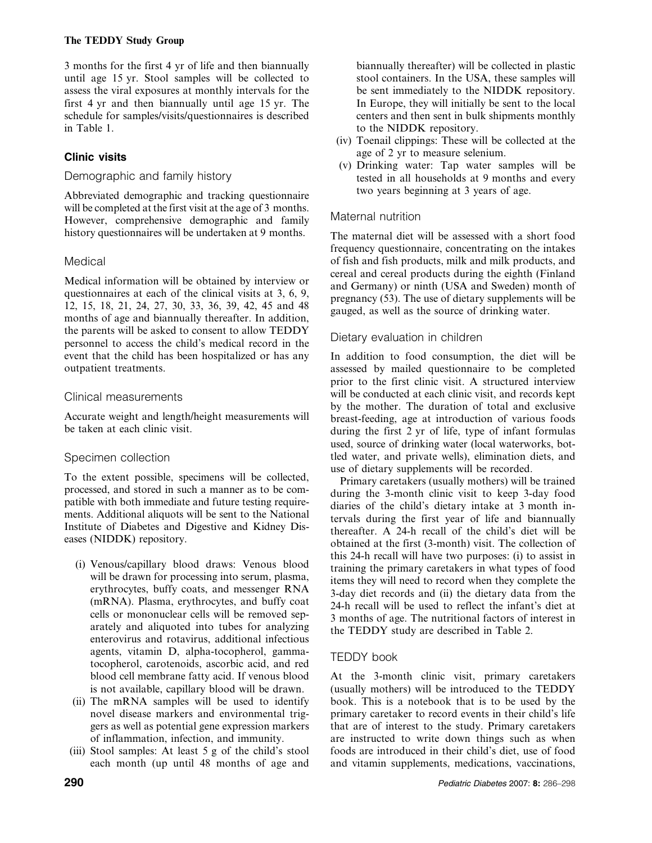### The TEDDY Study Group

3 months for the first 4 yr of life and then biannually until age 15 yr. Stool samples will be collected to assess the viral exposures at monthly intervals for the first 4 yr and then biannually until age 15 yr. The schedule for samples/visits/questionnaires is described in Table 1.

# Clinic visits

# Demographic and family history

Abbreviated demographic and tracking questionnaire will be completed at the first visit at the age of 3 months. However, comprehensive demographic and family history questionnaires will be undertaken at 9 months.

# Medical

Medical information will be obtained by interview or questionnaires at each of the clinical visits at 3, 6, 9, 12, 15, 18, 21, 24, 27, 30, 33, 36, 39, 42, 45 and 48 months of age and biannually thereafter. In addition, the parents will be asked to consent to allow TEDDY personnel to access the child's medical record in the event that the child has been hospitalized or has any outpatient treatments.

# Clinical measurements

Accurate weight and length/height measurements will be taken at each clinic visit.

# Specimen collection

To the extent possible, specimens will be collected, processed, and stored in such a manner as to be compatible with both immediate and future testing requirements. Additional aliquots will be sent to the National Institute of Diabetes and Digestive and Kidney Diseases (NIDDK) repository.

- (i) Venous/capillary blood draws: Venous blood will be drawn for processing into serum, plasma, erythrocytes, buffy coats, and messenger RNA (mRNA). Plasma, erythrocytes, and buffy coat cells or mononuclear cells will be removed separately and aliquoted into tubes for analyzing enterovirus and rotavirus, additional infectious agents, vitamin D, alpha-tocopherol, gammatocopherol, carotenoids, ascorbic acid, and red blood cell membrane fatty acid. If venous blood is not available, capillary blood will be drawn.
- (ii) The mRNA samples will be used to identify novel disease markers and environmental triggers as well as potential gene expression markers of inflammation, infection, and immunity.
- (iii) Stool samples: At least 5 g of the child's stool each month (up until 48 months of age and

biannually thereafter) will be collected in plastic stool containers. In the USA, these samples will be sent immediately to the NIDDK repository. In Europe, they will initially be sent to the local centers and then sent in bulk shipments monthly to the NIDDK repository.

- (iv) Toenail clippings: These will be collected at the age of 2 yr to measure selenium.
- (v) Drinking water: Tap water samples will be tested in all households at 9 months and every two years beginning at 3 years of age.

# Maternal nutrition

The maternal diet will be assessed with a short food frequency questionnaire, concentrating on the intakes of fish and fish products, milk and milk products, and cereal and cereal products during the eighth (Finland and Germany) or ninth (USA and Sweden) month of pregnancy (53). The use of dietary supplements will be gauged, as well as the source of drinking water.

# Dietary evaluation in children

In addition to food consumption, the diet will be assessed by mailed questionnaire to be completed prior to the first clinic visit. A structured interview will be conducted at each clinic visit, and records kept by the mother. The duration of total and exclusive breast-feeding, age at introduction of various foods during the first 2 yr of life, type of infant formulas used, source of drinking water (local waterworks, bottled water, and private wells), elimination diets, and use of dietary supplements will be recorded.

Primary caretakers (usually mothers) will be trained during the 3-month clinic visit to keep 3-day food diaries of the child's dietary intake at 3 month intervals during the first year of life and biannually thereafter. A 24-h recall of the child's diet will be obtained at the first (3-month) visit. The collection of this 24-h recall will have two purposes: (i) to assist in training the primary caretakers in what types of food items they will need to record when they complete the 3-day diet records and (ii) the dietary data from the 24-h recall will be used to reflect the infant's diet at 3 months of age. The nutritional factors of interest in the TEDDY study are described in Table 2.

# TEDDY book

At the 3-month clinic visit, primary caretakers (usually mothers) will be introduced to the TEDDY book. This is a notebook that is to be used by the primary caretaker to record events in their child's life that are of interest to the study. Primary caretakers are instructed to write down things such as when foods are introduced in their child's diet, use of food and vitamin supplements, medications, vaccinations,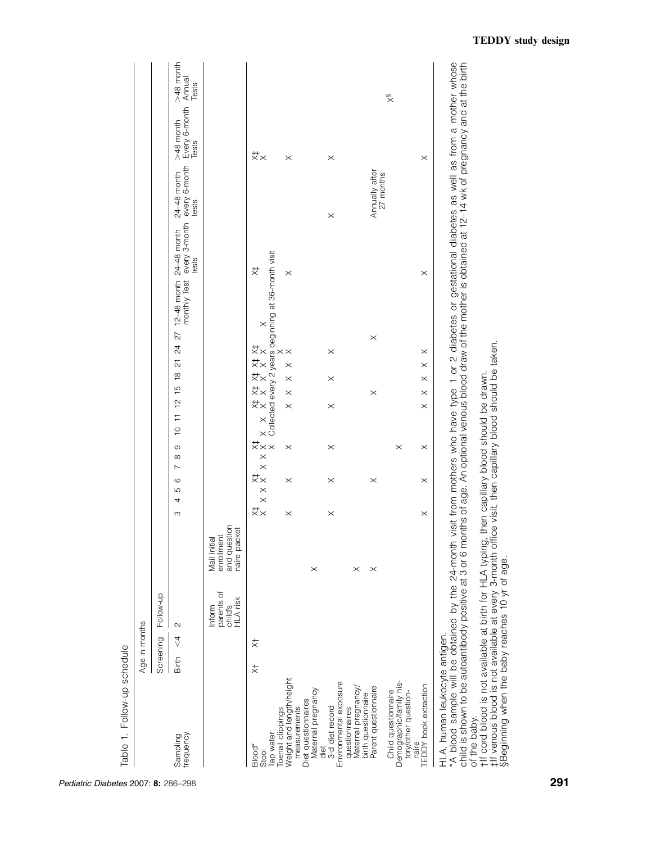| Table 1. Follow-up schedule                                                                                                                                                                                                                                                                                                                                        | Age in months                              |                                                    |                                                            |                 |          |                                 |                |                               |                                                  |                        |                                         |                                     |                                |
|--------------------------------------------------------------------------------------------------------------------------------------------------------------------------------------------------------------------------------------------------------------------------------------------------------------------------------------------------------------------|--------------------------------------------|----------------------------------------------------|------------------------------------------------------------|-----------------|----------|---------------------------------|----------------|-------------------------------|--------------------------------------------------|------------------------|-----------------------------------------|-------------------------------------|--------------------------------|
|                                                                                                                                                                                                                                                                                                                                                                    |                                            |                                                    |                                                            |                 |          |                                 |                |                               |                                                  |                        |                                         |                                     |                                |
|                                                                                                                                                                                                                                                                                                                                                                    | Screening                                  | Follow-up                                          |                                                            |                 |          |                                 |                |                               |                                                  |                        |                                         |                                     |                                |
| frequency<br>Sampling                                                                                                                                                                                                                                                                                                                                              | $\overline{4}$<br>Birth                    | $\mathcal{Q}$                                      |                                                            | 4<br>S          | 6<br>5   | 0<br>$\infty$<br>$\overline{ }$ | 10 11 12 15 18 |                               | 21 24 27 12-48 month 24-48 month<br>monthly Test | every 3-month<br>tests | every 6-month<br>$24-48$ month<br>tests | Every 6-month<br>Tests<br>>48 month | $>48$ month<br>Annual<br>Tests |
|                                                                                                                                                                                                                                                                                                                                                                    |                                            | parents of<br><b>HLA</b> risk<br>child's<br>Inform | and question<br>naire packet<br>enrollment<br>Mail initial |                 |          |                                 |                |                               |                                                  |                        |                                         |                                     |                                |
| Tap water<br>Blood <sup>*</sup><br>Stool                                                                                                                                                                                                                                                                                                                           | $\overline{\times}$<br>$\overline{\times}$ |                                                    |                                                            | $\sharp \times$ |          |                                 |                |                               |                                                  |                        |                                         | $\sharp \times$                     |                                |
| Weight and length/height<br>Toenail clippings<br>measurements                                                                                                                                                                                                                                                                                                      |                                            |                                                    |                                                            | $\times$        |          |                                 |                |                               |                                                  |                        |                                         | $\times$                            |                                |
| Maternal pregnancy<br>Diet questionnaires<br>diet                                                                                                                                                                                                                                                                                                                  |                                            |                                                    | $\times$                                                   |                 |          |                                 |                |                               |                                                  |                        |                                         |                                     |                                |
| Environmental exposure<br>3-d diet record                                                                                                                                                                                                                                                                                                                          |                                            |                                                    |                                                            | $\times$        | $\times$ | $\times$                        | $\times$       | $\times$<br>$\times$          |                                                  |                        | $\times$                                | $\times$                            |                                |
| Maternal pregnancy<br>questionnaires                                                                                                                                                                                                                                                                                                                               |                                            |                                                    | $\times$                                                   |                 |          |                                 |                |                               |                                                  |                        |                                         |                                     |                                |
| Parent questionnaire<br>birth questionnaire                                                                                                                                                                                                                                                                                                                        |                                            |                                                    | $\times$                                                   |                 | $\times$ |                                 | $\times$       | $\times$                      |                                                  |                        | Annually after<br>27 months             |                                     |                                |
| Demographic/family his-<br>Child questionnaire<br>tory/other question-                                                                                                                                                                                                                                                                                             |                                            |                                                    |                                                            |                 |          | $\times$                        |                |                               |                                                  |                        |                                         |                                     | $\overset{\circ}{\times}$      |
| TEDDY book extraction<br>naire                                                                                                                                                                                                                                                                                                                                     |                                            |                                                    |                                                            | $\times$        | $\times$ | $\boldsymbol{\times}$           | $\times$       | $\times$<br>$\times$ $\times$ | $\times$                                         |                        |                                         | $\times$                            |                                |
| *A blood sample will be obtained by the 24-month visit from mothers who have type 1 or 2 diabetes or gestational diabetes as well as from a mother whose<br>child is shown to be autoantibody positive at 3 or 6 months of age. An optional venous blood draw of the mother is obtained at 12–14 wk of pregnancy and at the birth<br>HLA, human leukocyte antigen. |                                            |                                                    |                                                            |                 |          |                                 |                |                               |                                                  |                        |                                         |                                     |                                |

child is shown to be autoantibody positive at 3 or 6 months of age. An optional venous blood draw of the mother is obtained at 12–14 wk of pregnancy and at the birth ת<br>מ  $\overline{\mathbf{r}}$ 5  $\frac{1}{2}$ ש<br>ס ュミ of the baby.

†If cord blood is not available at birth for HLA typing, then capillary blood should be drawn.

‡If venous blood is not available at every 3-month office visit, then capillary blood should be taken.

§Beginning when the baby reaches 10 yr of age.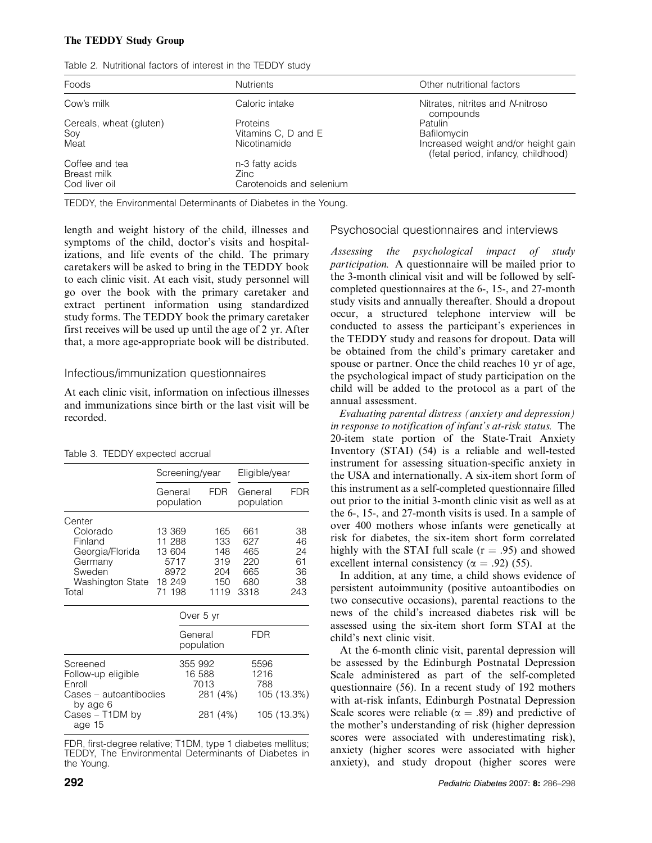### The TEDDY Study Group

| Foods                                          | <b>Nutrients</b>                                       | Other nutritional factors                                                                           |
|------------------------------------------------|--------------------------------------------------------|-----------------------------------------------------------------------------------------------------|
| Cow's milk                                     | Caloric intake                                         | Nitrates, nitrites and N-nitroso<br>compounds                                                       |
| Cereals, wheat (gluten)<br>Soy<br>Meat         | <b>Proteins</b><br>Vitamins C, D and E<br>Nicotinamide | Patulin<br>Bafilomycin<br>Increased weight and/or height gain<br>(fetal period, infancy, childhood) |
| Coffee and tea<br>Breast milk<br>Cod liver oil | n-3 fatty acids<br>Zinc.<br>Carotenoids and selenium   |                                                                                                     |

Table 2. Nutritional factors of interest in the TEDDY study

TEDDY, the Environmental Determinants of Diabetes in the Young.

length and weight history of the child, illnesses and symptoms of the child, doctor's visits and hospitalizations, and life events of the child. The primary caretakers will be asked to bring in the TEDDY book to each clinic visit. At each visit, study personnel will go over the book with the primary caretaker and extract pertinent information using standardized study forms. The TEDDY book the primary caretaker first receives will be used up until the age of 2 yr. After that, a more age-appropriate book will be distributed.

#### Infectious/immunization questionnaires

At each clinic visit, information on infectious illnesses and immunizations since birth or the last visit will be recorded.

#### Table 3. TEDDY expected accrual

|                                                                                                             |                                                                | Screening/year        |                                                | Eligible/year                                  |                                         |
|-------------------------------------------------------------------------------------------------------------|----------------------------------------------------------------|-----------------------|------------------------------------------------|------------------------------------------------|-----------------------------------------|
|                                                                                                             | General                                                        | population            | FDR.                                           | General<br>population                          | FDR                                     |
| Center<br>Colorado<br>Finland<br>Georgia/Florida<br>Germany<br>Sweden<br>Washington State<br>Total          | 13 369<br>11 288<br>13 604<br>5717<br>8972<br>18 249<br>71 198 |                       | 165<br>133<br>148<br>319<br>204<br>150<br>1119 | 661<br>627<br>465<br>220<br>665<br>680<br>3318 | 38<br>46<br>24<br>61<br>36<br>38<br>243 |
|                                                                                                             |                                                                | Over 5 yr             |                                                |                                                |                                         |
|                                                                                                             |                                                                | General<br>population |                                                | FDR                                            |                                         |
| Screened<br>Follow-up eligible<br>Enroll<br>Cases - autoantibodies<br>by age 6<br>Cases - T1DM by<br>age 15 |                                                                | 355 992<br>16 588     | 7013<br>281 (4%)<br>281 (4%)                   | 5596<br>1216<br>788                            | 105 (13.3%)<br>105 (13.3%)              |

FDR, first-degree relative; T1DM, type 1 diabetes mellitus; TEDDY, The Environmental Determinants of Diabetes in the Young.

# Psychosocial questionnaires and interviews

Assessing the psychological impact of study participation. A questionnaire will be mailed prior to the 3-month clinical visit and will be followed by selfcompleted questionnaires at the 6-, 15-, and 27-month study visits and annually thereafter. Should a dropout occur, a structured telephone interview will be conducted to assess the participant's experiences in the TEDDY study and reasons for dropout. Data will be obtained from the child's primary caretaker and spouse or partner. Once the child reaches 10 yr of age, the psychological impact of study participation on the child will be added to the protocol as a part of the annual assessment.

Evaluating parental distress (anxiety and depression) in response to notification of infant's at-risk status. The 20-item state portion of the State-Trait Anxiety Inventory (STAI) (54) is a reliable and well-tested instrument for assessing situation-specific anxiety in the USA and internationally. A six-item short form of this instrument as a self-completed questionnaire filled out prior to the initial 3-month clinic visit as well as at the 6-, 15-, and 27-month visits is used. In a sample of over 400 mothers whose infants were genetically at risk for diabetes, the six-item short form correlated highly with the STAI full scale  $(r = .95)$  and showed excellent internal consistency ( $\alpha = .92$ ) (55).

In addition, at any time, a child shows evidence of persistent autoimmunity (positive autoantibodies on two consecutive occasions), parental reactions to the news of the child's increased diabetes risk will be assessed using the six-item short form STAI at the child's next clinic visit.

At the 6-month clinic visit, parental depression will be assessed by the Edinburgh Postnatal Depression Scale administered as part of the self-completed questionnaire (56). In a recent study of 192 mothers with at-risk infants, Edinburgh Postnatal Depression Scale scores were reliable ( $\alpha = .89$ ) and predictive of the mother's understanding of risk (higher depression scores were associated with underestimating risk), anxiety (higher scores were associated with higher anxiety), and study dropout (higher scores were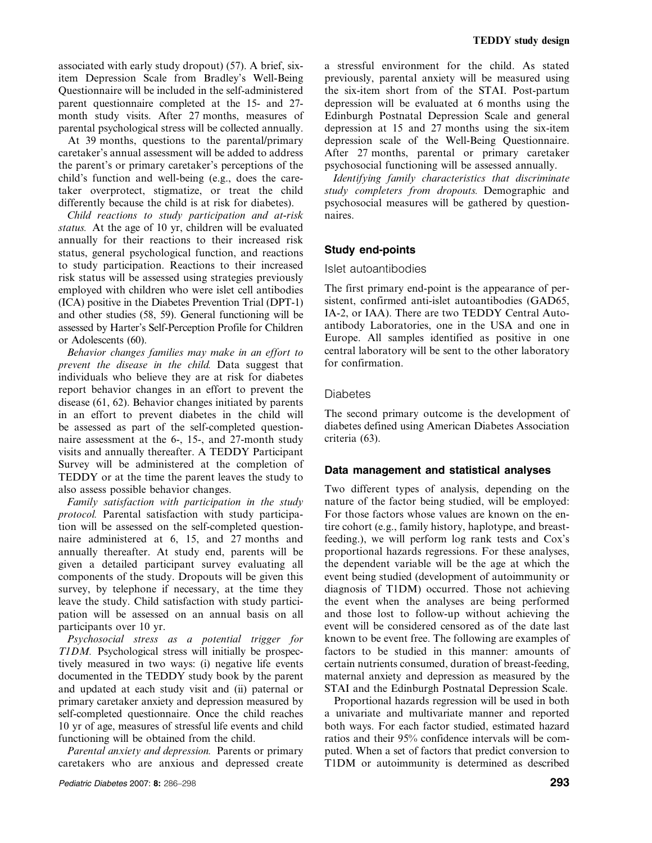associated with early study dropout) (57). A brief, sixitem Depression Scale from Bradley's Well-Being Questionnaire will be included in the self-administered parent questionnaire completed at the 15- and 27 month study visits. After 27 months, measures of parental psychological stress will be collected annually.

At 39 months, questions to the parental/primary caretaker's annual assessment will be added to address the parent's or primary caretaker's perceptions of the child's function and well-being (e.g., does the caretaker overprotect, stigmatize, or treat the child differently because the child is at risk for diabetes).

Child reactions to study participation and at-risk status. At the age of 10 yr, children will be evaluated annually for their reactions to their increased risk status, general psychological function, and reactions to study participation. Reactions to their increased risk status will be assessed using strategies previously employed with children who were islet cell antibodies (ICA) positive in the Diabetes Prevention Trial (DPT-1) and other studies (58, 59). General functioning will be assessed by Harter's Self-Perception Profile for Children or Adolescents (60).

Behavior changes families may make in an effort to prevent the disease in the child. Data suggest that individuals who believe they are at risk for diabetes report behavior changes in an effort to prevent the disease (61, 62). Behavior changes initiated by parents in an effort to prevent diabetes in the child will be assessed as part of the self-completed questionnaire assessment at the 6-, 15-, and 27-month study visits and annually thereafter. A TEDDY Participant Survey will be administered at the completion of TEDDY or at the time the parent leaves the study to also assess possible behavior changes.

Family satisfaction with participation in the study protocol. Parental satisfaction with study participation will be assessed on the self-completed questionnaire administered at 6, 15, and 27 months and annually thereafter. At study end, parents will be given a detailed participant survey evaluating all components of the study. Dropouts will be given this survey, by telephone if necessary, at the time they leave the study. Child satisfaction with study participation will be assessed on an annual basis on all participants over 10 yr.

Psychosocial stress as a potential trigger for T1DM. Psychological stress will initially be prospectively measured in two ways: (i) negative life events documented in the TEDDY study book by the parent and updated at each study visit and (ii) paternal or primary caretaker anxiety and depression measured by self-completed questionnaire. Once the child reaches 10 yr of age, measures of stressful life events and child functioning will be obtained from the child.

Parental anxiety and depression. Parents or primary caretakers who are anxious and depressed create a stressful environment for the child. As stated previously, parental anxiety will be measured using the six-item short from of the STAI. Post-partum depression will be evaluated at 6 months using the Edinburgh Postnatal Depression Scale and general depression at 15 and 27 months using the six-item depression scale of the Well-Being Questionnaire. After 27 months, parental or primary caretaker psychosocial functioning will be assessed annually.

Identifying family characteristics that discriminate study completers from dropouts. Demographic and psychosocial measures will be gathered by questionnaires.

# Study end-points

#### Islet autoantibodies

The first primary end-point is the appearance of persistent, confirmed anti-islet autoantibodies (GAD65, IA-2, or IAA). There are two TEDDY Central Autoantibody Laboratories, one in the USA and one in Europe. All samples identified as positive in one central laboratory will be sent to the other laboratory for confirmation.

#### **Diabetes**

The second primary outcome is the development of diabetes defined using American Diabetes Association criteria (63).

#### Data management and statistical analyses

Two different types of analysis, depending on the nature of the factor being studied, will be employed: For those factors whose values are known on the entire cohort (e.g., family history, haplotype, and breastfeeding.), we will perform log rank tests and Cox's proportional hazards regressions. For these analyses, the dependent variable will be the age at which the event being studied (development of autoimmunity or diagnosis of T1DM) occurred. Those not achieving the event when the analyses are being performed and those lost to follow-up without achieving the event will be considered censored as of the date last known to be event free. The following are examples of factors to be studied in this manner: amounts of certain nutrients consumed, duration of breast-feeding, maternal anxiety and depression as measured by the STAI and the Edinburgh Postnatal Depression Scale.

Proportional hazards regression will be used in both a univariate and multivariate manner and reported both ways. For each factor studied, estimated hazard ratios and their 95% confidence intervals will be computed. When a set of factors that predict conversion to T1DM or autoimmunity is determined as described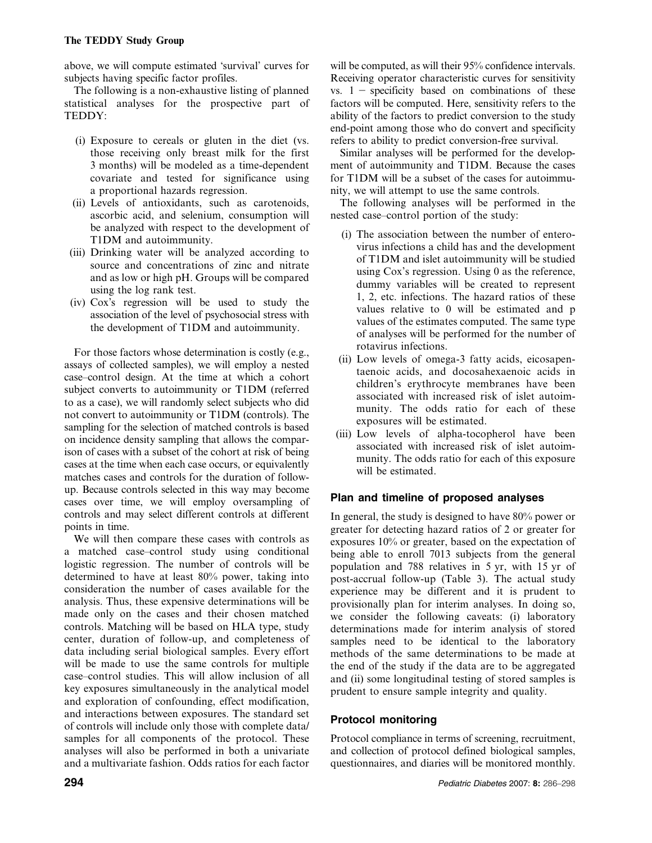above, we will compute estimated 'survival' curves for subjects having specific factor profiles.

The following is a non-exhaustive listing of planned statistical analyses for the prospective part of TEDDY:

- (i) Exposure to cereals or gluten in the diet (vs. those receiving only breast milk for the first 3 months) will be modeled as a time-dependent covariate and tested for significance using a proportional hazards regression.
- (ii) Levels of antioxidants, such as carotenoids, ascorbic acid, and selenium, consumption will be analyzed with respect to the development of T1DM and autoimmunity.
- (iii) Drinking water will be analyzed according to source and concentrations of zinc and nitrate and as low or high pH. Groups will be compared using the log rank test.
- (iv) Cox's regression will be used to study the association of the level of psychosocial stress with the development of T1DM and autoimmunity.

For those factors whose determination is costly (e.g., assays of collected samples), we will employ a nested case–control design. At the time at which a cohort subject converts to autoimmunity or T1DM (referred to as a case), we will randomly select subjects who did not convert to autoimmunity or T1DM (controls). The sampling for the selection of matched controls is based on incidence density sampling that allows the comparison of cases with a subset of the cohort at risk of being cases at the time when each case occurs, or equivalently matches cases and controls for the duration of followup. Because controls selected in this way may become cases over time, we will employ oversampling of controls and may select different controls at different points in time.

We will then compare these cases with controls as a matched case–control study using conditional logistic regression. The number of controls will be determined to have at least 80% power, taking into consideration the number of cases available for the analysis. Thus, these expensive determinations will be made only on the cases and their chosen matched controls. Matching will be based on HLA type, study center, duration of follow-up, and completeness of data including serial biological samples. Every effort will be made to use the same controls for multiple case–control studies. This will allow inclusion of all key exposures simultaneously in the analytical model and exploration of confounding, effect modification, and interactions between exposures. The standard set of controls will include only those with complete data/ samples for all components of the protocol. These analyses will also be performed in both a univariate and a multivariate fashion. Odds ratios for each factor

will be computed, as will their 95% confidence intervals. Receiving operator characteristic curves for sensitivity vs.  $1$  – specificity based on combinations of these factors will be computed. Here, sensitivity refers to the ability of the factors to predict conversion to the study end-point among those who do convert and specificity refers to ability to predict conversion-free survival.

Similar analyses will be performed for the development of autoimmunity and T1DM. Because the cases for T1DM will be a subset of the cases for autoimmunity, we will attempt to use the same controls.

The following analyses will be performed in the nested case–control portion of the study:

- (i) The association between the number of enterovirus infections a child has and the development of T1DM and islet autoimmunity will be studied using Cox's regression. Using 0 as the reference, dummy variables will be created to represent 1, 2, etc. infections. The hazard ratios of these values relative to 0 will be estimated and p values of the estimates computed. The same type of analyses will be performed for the number of rotavirus infections.
- (ii) Low levels of omega-3 fatty acids, eicosapentaenoic acids, and docosahexaenoic acids in children's erythrocyte membranes have been associated with increased risk of islet autoimmunity. The odds ratio for each of these exposures will be estimated.
- (iii) Low levels of alpha-tocopherol have been associated with increased risk of islet autoimmunity. The odds ratio for each of this exposure will be estimated.

# Plan and timeline of proposed analyses

In general, the study is designed to have 80% power or greater for detecting hazard ratios of 2 or greater for exposures 10% or greater, based on the expectation of being able to enroll 7013 subjects from the general population and 788 relatives in 5 yr, with 15 yr of post-accrual follow-up (Table 3). The actual study experience may be different and it is prudent to provisionally plan for interim analyses. In doing so, we consider the following caveats: (i) laboratory determinations made for interim analysis of stored samples need to be identical to the laboratory methods of the same determinations to be made at the end of the study if the data are to be aggregated and (ii) some longitudinal testing of stored samples is prudent to ensure sample integrity and quality.

# Protocol monitoring

Protocol compliance in terms of screening, recruitment, and collection of protocol defined biological samples, questionnaires, and diaries will be monitored monthly.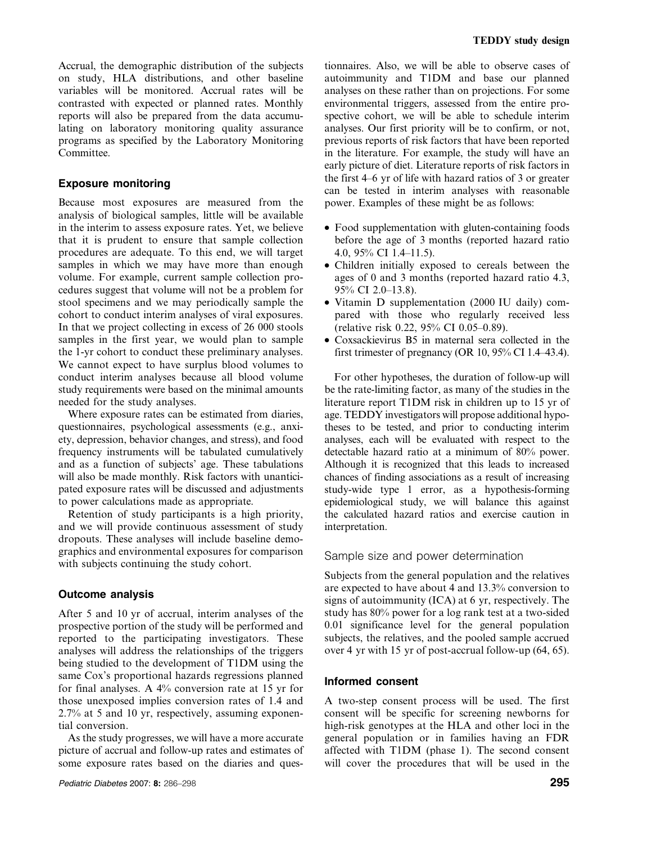Accrual, the demographic distribution of the subjects on study, HLA distributions, and other baseline variables will be monitored. Accrual rates will be contrasted with expected or planned rates. Monthly reports will also be prepared from the data accumulating on laboratory monitoring quality assurance programs as specified by the Laboratory Monitoring Committee.

### Exposure monitoring

Because most exposures are measured from the analysis of biological samples, little will be available in the interim to assess exposure rates. Yet, we believe that it is prudent to ensure that sample collection procedures are adequate. To this end, we will target samples in which we may have more than enough volume. For example, current sample collection procedures suggest that volume will not be a problem for stool specimens and we may periodically sample the cohort to conduct interim analyses of viral exposures. In that we project collecting in excess of 26 000 stools samples in the first year, we would plan to sample the 1-yr cohort to conduct these preliminary analyses. We cannot expect to have surplus blood volumes to conduct interim analyses because all blood volume study requirements were based on the minimal amounts needed for the study analyses.

Where exposure rates can be estimated from diaries, questionnaires, psychological assessments (e.g., anxiety, depression, behavior changes, and stress), and food frequency instruments will be tabulated cumulatively and as a function of subjects' age. These tabulations will also be made monthly. Risk factors with unanticipated exposure rates will be discussed and adjustments to power calculations made as appropriate.

Retention of study participants is a high priority, and we will provide continuous assessment of study dropouts. These analyses will include baseline demographics and environmental exposures for comparison with subjects continuing the study cohort.

#### Outcome analysis

After 5 and 10 yr of accrual, interim analyses of the prospective portion of the study will be performed and reported to the participating investigators. These analyses will address the relationships of the triggers being studied to the development of T1DM using the same Cox's proportional hazards regressions planned for final analyses. A 4% conversion rate at 15 yr for those unexposed implies conversion rates of 1.4 and 2.7% at 5 and 10 yr, respectively, assuming exponential conversion.

As the study progresses, we will have a more accurate picture of accrual and follow-up rates and estimates of some exposure rates based on the diaries and ques-

tionnaires. Also, we will be able to observe cases of autoimmunity and T1DM and base our planned analyses on these rather than on projections. For some environmental triggers, assessed from the entire prospective cohort, we will be able to schedule interim analyses. Our first priority will be to confirm, or not, previous reports of risk factors that have been reported in the literature. For example, the study will have an early picture of diet. Literature reports of risk factors in the first 4–6 yr of life with hazard ratios of 3 or greater can be tested in interim analyses with reasonable power. Examples of these might be as follows:

- Food supplementation with gluten-containing foods before the age of 3 months (reported hazard ratio 4.0, 95% CI 1.4–11.5).
- Children initially exposed to cereals between the ages of 0 and 3 months (reported hazard ratio 4.3, 95% CI 2.0–13.8).
- Vitamin D supplementation (2000 IU daily) compared with those who regularly received less (relative risk 0.22, 95% CI 0.05–0.89).
- Coxsackievirus B5 in maternal sera collected in the first trimester of pregnancy (OR  $10$ ,  $95\%$  CI 1.4–43.4).

For other hypotheses, the duration of follow-up will be the rate-limiting factor, as many of the studies in the literature report T1DM risk in children up to 15 yr of age. TEDDY investigators will propose additional hypotheses to be tested, and prior to conducting interim analyses, each will be evaluated with respect to the detectable hazard ratio at a minimum of 80% power. Although it is recognized that this leads to increased chances of finding associations as a result of increasing study-wide type 1 error, as a hypothesis-forming epidemiological study, we will balance this against the calculated hazard ratios and exercise caution in interpretation.

#### Sample size and power determination

Subjects from the general population and the relatives are expected to have about 4 and 13.3% conversion to signs of autoimmunity (ICA) at 6 yr, respectively. The study has 80% power for a log rank test at a two-sided 0.01 significance level for the general population subjects, the relatives, and the pooled sample accrued over 4 yr with 15 yr of post-accrual follow-up (64, 65).

#### Informed consent

A two-step consent process will be used. The first consent will be specific for screening newborns for high-risk genotypes at the HLA and other loci in the general population or in families having an FDR affected with T1DM (phase 1). The second consent will cover the procedures that will be used in the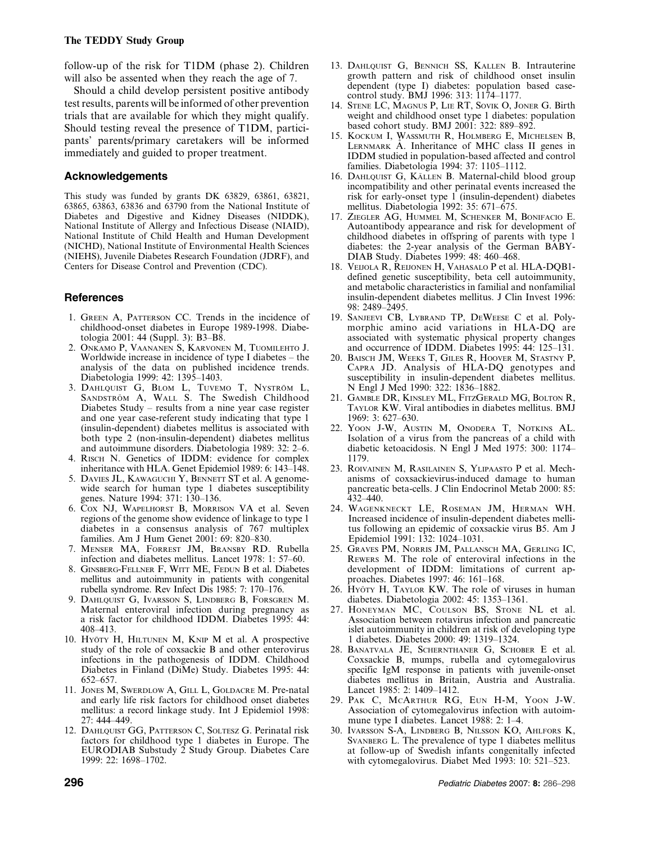#### The TEDDY Study Group

follow-up of the risk for T1DM (phase 2). Children will also be assented when they reach the age of 7.

Should a child develop persistent positive antibody test results, parents will be informed of other prevention trials that are available for which they might qualify. Should testing reveal the presence of T1DM, participants' parents/primary caretakers will be informed immediately and guided to proper treatment.

#### Acknowledgements

This study was funded by grants DK 63829, 63861, 63821, 63865, 63863, 63836 and 63790 from the National Institute of Diabetes and Digestive and Kidney Diseases (NIDDK), National Institute of Allergy and Infectious Disease (NIAID), National Institute of Child Health and Human Development (NICHD), National Institute of Environmental Health Sciences (NIEHS), Juvenile Diabetes Research Foundation (JDRF), and Centers for Disease Control and Prevention (CDC).

#### **References**

- 1. GREEN A, PATTERSON CC. Trends in the incidence of childhood-onset diabetes in Europe 1989-1998. Diabetologia 2001: 44 (Suppl. 3): B3–B8.
- 2. ONKAMO P, VAANANEN S, KARVONEN M, TUOMILEHTO J. Worldwide increase in incidence of type I diabetes – the analysis of the data on published incidence trends. Diabetologia 1999: 42: 1395–1403.
- 3. DAHLQUIST G, BLOM L, TUVEMO T, NYSTRÖM L, SANDSTRÖM A, WALL S. The Swedish Childhood Diabetes Study – results from a nine year case register and one year case-referent study indicating that type 1 (insulin-dependent) diabetes mellitus is associated with both type 2 (non-insulin-dependent) diabetes mellitus and autoimmune disorders. Diabetologia 1989: 32: 2–6.
- 4. RISCH N. Genetics of IDDM: evidence for complex inheritance with HLA. Genet Epidemiol 1989: 6: 143–148.
- 5. DAVIES JL, KAWAGUCHI Y, BENNETT ST et al. A genomewide search for human type 1 diabetes susceptibility genes. Nature 1994: 371: 130–136.
- 6. COX NJ, WAPELHORST B, MORRISON VA et al. Seven regions of the genome show evidence of linkage to type 1 diabetes in a consensus analysis of 767 multiplex families. Am J Hum Genet 2001: 69: 820–830.
- 7. MENSER MA, FORREST JM, BRANSBY RD. Rubella infection and diabetes mellitus. Lancet 1978: 1: 57–60.
- 8. GINSBERG-FELLNER F, WITT ME, FEDUN B et al. Diabetes mellitus and autoimmunity in patients with congenital rubella syndrome. Rev Infect Dis 1985: 7: 170–176.
- 9. DAHLQUIST G, IVARSSON S, LINDBERG B, FORSGREN M. Maternal enteroviral infection during pregnancy as a risk factor for childhood IDDM. Diabetes 1995: 44: 408–413.
- 10. HYÖTY H, HILTUNEN M, KNIP M et al. A prospective study of the role of coxsackie B and other enterovirus infections in the pathogenesis of IDDM. Childhood Diabetes in Finland (DiMe) Study. Diabetes 1995: 44: 652–657.
- 11. JONES M, SWERDLOW A, GILL L, GOLDACRE M. Pre-natal and early life risk factors for childhood onset diabetes mellitus: a record linkage study. Int J Epidemiol 1998: 27: 444–449.
- 12. DAHLQUIST GG, PATTERSON C, SOLTESZ G. Perinatal risk factors for childhood type 1 diabetes in Europe. The EURODIAB Substudy 2 Study Group. Diabetes Care 1999: 22: 1698–1702.
- 13. DAHLQUIST G, BENNICH SS, KALLEN B. Intrauterine growth pattern and risk of childhood onset insulin dependent (type I) diabetes: population based casecontrol study. BMJ 1996: 313: 1174–1177.
- 14. STENE LC, MAGNUS P, LIE RT, SOVIK O, JONER G. Birth weight and childhood onset type 1 diabetes: population based cohort study. BMJ 2001: 322: 889–892.
- 15. KOCKUM I, WASSMUTH R, HOLMBERG E, MICHELSEN B, LERNMARK A. Inheritance of MHC class II genes in IDDM studied in population-based affected and control families. Diabetologia 1994: 37: 1105–1112.
- 16. DAHLQUIST G, KÄLLEN B. Maternal-child blood group incompatibility and other perinatal events increased the risk for early-onset type 1 (insulin-dependent) diabetes mellitus. Diabetologia 1992: 35: 671–675.
- 17. ZIEGLER AG, HUMMEL M, SCHENKER M, BONIFACIO E. Autoantibody appearance and risk for development of childhood diabetes in offspring of parents with type 1 diabetes: the 2-year analysis of the German BABY-DIAB Study. Diabetes 1999: 48: 460–468.
- 18. VEIJOLA R, REIJONEN H, VAHASALO P et al. HLA-DQB1 defined genetic susceptibility, beta cell autoimmunity, and metabolic characteristics in familial and nonfamilial insulin-dependent diabetes mellitus. J Clin Invest 1996: 98: 2489–2495.
- 19. SANJEEVI CB, LYBRAND TP, DEWEESE C et al. Polymorphic amino acid variations in HLA-DQ are associated with systematic physical property changes and occurrence of IDDM. Diabetes 1995: 44: 125–131.
- 20. BAISCH JM, WEEKS T, GILES R, HOOVER M, STASTNY P, CAPRA JD. Analysis of HLA-DQ genotypes and susceptibility in insulin-dependent diabetes mellitus. N Engl J Med 1990: 322: 1836–1882.
- 21. GAMBLE DR, KINSLEY ML, FITZGERALD MG, BOLTON R, TAYLOR KW. Viral antibodies in diabetes mellitus. BMJ 1969: 3: 627–630.
- 22. YOON J-W, AUSTIN M, ONODERA T, NOTKINS AL. Isolation of a virus from the pancreas of a child with diabetic ketoacidosis. N Engl J Med 1975: 300: 1174– 1179.
- 23. ROIVAINEN M, RASILAINEN S, YLIPAASTO P et al. Mechanisms of coxsackievirus-induced damage to human pancreatic beta-cells. J Clin Endocrinol Metab 2000: 85: 432–440.
- 24. WAGENKNECKT LE, ROSEMAN JM, HERMAN WH. Increased incidence of insulin-dependent diabetes mellitus following an epidemic of coxsackie virus B5. Am J Epidemiol 1991: 132: 1024–1031.
- 25. GRAVES PM, NORRIS JM, PALLANSCH MA, GERLING IC, REWERS M. The role of enteroviral infections in the development of IDDM: limitations of current approaches. Diabetes 1997: 46: 161–168.
- 26. Hyöty H, TAYLOR KW. The role of viruses in human diabetes. Diabetologia 2002: 45: 1353–1361.
- 27. HONEYMAN MC, COULSON BS, STONE NL et al. Association between rotavirus infection and pancreatic islet autoimmunity in children at risk of developing type 1 diabetes. Diabetes 2000: 49: 1319–1324.
- 28. BANATVALA JE, SCHERNTHANER G, SCHOBER E et al. Coxsackie B, mumps, rubella and cytomegalovirus specific IgM response in patients with juvenile-onset diabetes mellitus in Britain, Austria and Australia. Lancet 1985: 2: 1409–1412.
- 29. PAK C, MCARTHUR RG, EUN H-M, YOON J-W. Association of cytomegalovirus infection with autoimmune type I diabetes. Lancet 1988: 2: 1–4.
- 30. IVARSSON S-A, LINDBERG B, NILSSON KO, AHLFORS K, SVANBERG L. The prevalence of type 1 diabetes mellitus at follow-up of Swedish infants congenitally infected with cytomegalovirus. Diabet Med 1993: 10: 521–523.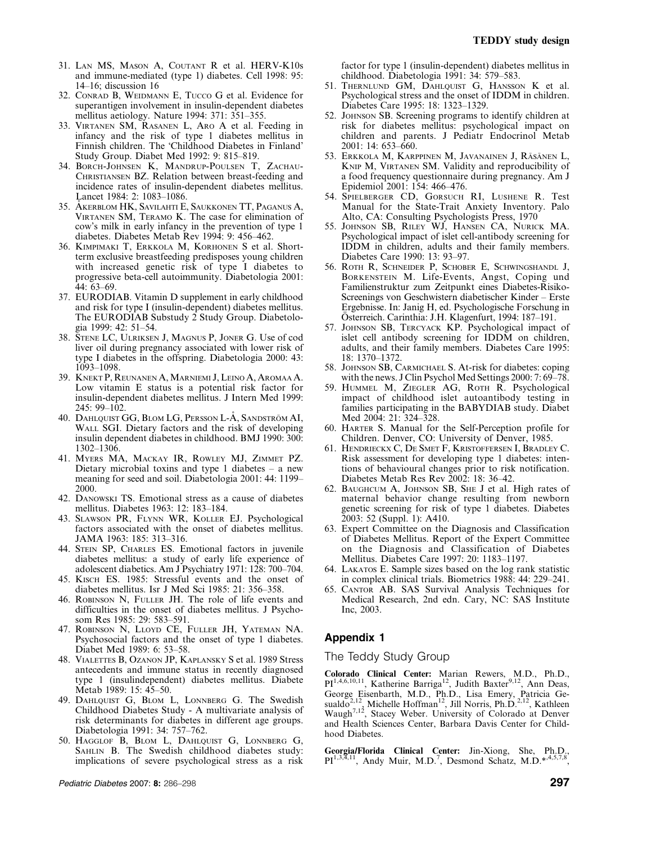- 31. LAN MS, MASON A, COUTANT R et al. HERV-K10s and immune-mediated (type 1) diabetes. Cell 1998: 95: 14–16; discussion 16
- 32. CONRAD B, WEIDMANN E, TUCCO G et al. Evidence for superantigen involvement in insulin-dependent diabetes mellitus aetiology. Nature 1994: 371: 351–355.
- 33. VIRTANEN SM, RASANEN L, ARO A et al. Feeding in infancy and the risk of type 1 diabetes mellitus in Finnish children. The 'Childhood Diabetes in Finland' Study Group. Diabet Med 1992: 9: 815–819.
- 34. BORCH-JOHNSEN K, MANDRUP-POULSEN T, ZACHAU-CHRISTIANSEN BZ. Relation between breast-feeding and incidence rates of insulin-dependent diabetes mellitus. Lancet 1984: 2: 1083–1086.
- 35. AKERBLOM HK, SAVILAHTI E, SAUKKONEN TT, PAGANUS A, VIRTANEN SM, TERAMO K. The case for elimination of cow's milk in early infancy in the prevention of type 1 diabetes. Diabetes Metab Rev 1994: 9: 456–462.
- 36. KIMPIMAKI T, ERKKOLA M, KORHONEN S et al. Shortterm exclusive breastfeeding predisposes young children with increased genetic risk of type I diabetes to progressive beta-cell autoimmunity. Diabetologia 2001: 44: 63–69.
- 37. EURODIAB. Vitamin D supplement in early childhood and risk for type I (insulin-dependent) diabetes mellitus. The EURODIAB Substudy 2 Study Group. Diabetologia 1999: 42: 51–54.
- 38. STENE LC, ULRIKSEN J, MAGNUS P, JONER G. Use of cod liver oil during pregnancy associated with lower risk of type I diabetes in the offspring. Diabetologia 2000: 43: 1093–1098.
- 39. KNEKT P, REUNANEN A, MARNIEMI J, LEINO A, AROMAA A. Low vitamin E status is a potential risk factor for insulin-dependent diabetes mellitus. J Intern Med 1999: 245: 99–102.
- 40. DAHLQUIST GG, BLOM LG, PERSSON L-À, SANDSTRÖM AI, WALL SGI. Dietary factors and the risk of developing insulin dependent diabetes in childhood. BMJ 1990: 300: 1302–1306.
- 41. MYERS MA, MACKAY IR, ROWLEY MJ, ZIMMET PZ. Dietary microbial toxins and type 1 diabetes – a new meaning for seed and soil. Diabetologia 2001: 44: 1199– 2000.
- 42. DANOWSKI TS. Emotional stress as a cause of diabetes mellitus. Diabetes 1963: 12: 183–184.
- 43. SLAWSON PR, FLYNN WR, KOLLER EJ. Psychological factors associated with the onset of diabetes mellitus. JAMA 1963: 185: 313–316.
- 44. STEIN SP, CHARLES ES. Emotional factors in juvenile diabetes mellitus: a study of early life experience of adolescent diabetics. Am J Psychiatry 1971: 128: 700–704.
- 45. KISCH ES. 1985: Stressful events and the onset of diabetes mellitus. Isr J Med Sci 1985: 21: 356–358.
- 46. ROBINSON N, FULLER JH. The role of life events and difficulties in the onset of diabetes mellitus. J Psychosom Res 1985: 29: 583–591.
- 47. ROBINSON N, LLOYD CE, FULLER JH, YATEMAN NA. Psychosocial factors and the onset of type 1 diabetes. Diabet Med 1989: 6: 53–58.
- 48. VIALETTES B, OZANON JP, KAPLANSKY S et al. 1989 Stress antecedents and immune status in recently diagnosed type 1 (insulindependent) diabetes mellitus. Diabete Metab 1989: 15: 45–50.
- 49. DAHLQUIST G, BLOM L, LONNBERG G. The Swedish Childhood Diabetes Study - A multivariate analysis of risk determinants for diabetes in different age groups. Diabetologia 1991: 34: 757–762.
- 50. HAGGLOF B, BLOM L, DAHLQUIST G, LONNBERG G, SAHLIN B. The Swedish childhood diabetes study: implications of severe psychological stress as a risk

factor for type 1 (insulin-dependent) diabetes mellitus in childhood. Diabetologia 1991: 34: 579–583.

- 51. THERNLUND GM, DAHLQUIST G, HANSSON K et al. Psychological stress and the onset of IDDM in children. Diabetes Care 1995: 18: 1323–1329.
- 52. JOHNSON SB. Screening programs to identify children at risk for diabetes mellitus: psychological impact on children and parents. J Pediatr Endocrinol Metab 2001: 14: 653–660.
- 53. ERKKOLA M, KARPPINEN M, JAVANAINEN J, RÄSÄNEN L, KNIP M, VIRTANEN SM. Validity and reproducibility of a food frequency questionnaire during pregnancy. Am J Epidemiol 2001: 154: 466–476.
- 54. SPIELBERGER CD, GORSUCH RI, LUSHENE R. Test Manual for the State-Trait Anxiety Inventory. Palo Alto, CA: Consulting Psychologists Press, 1970
- 55. JOHNSON SB, RILEY WJ, HANSEN CA, NURICK MA. Psychological impact of islet cell-antibody screening for IDDM in children, adults and their family members. Diabetes Care 1990: 13: 93–97.
- 56. ROTH R, SCHNEIDER P, SCHOBER E, SCHWINGSHANDL J, BORKENSTEIN M. Life-Events, Angst, Coping und Familienstruktur zum Zeitpunkt eines Diabetes-Risiko-Screenings von Geschwistern diabetischer Kinder – Erste Ergebnisse. In: Janig H, ed. Psychologische Forschung in Osterreich. Carinthia: J.H. Klagenfurt, 1994: 187–191.
- 57. JOHNSON SB, TERCYACK KP. Psychological impact of islet cell antibody screening for IDDM on children, adults, and their family members. Diabetes Care 1995: 18: 1370–1372.
- 58. JOHNSON SB, CARMICHAEL S. At-risk for diabetes: coping with the news. J Clin Psychol Med Settings  $2000: 7: 69-78$ .
- 59. HUMMEL M, ZIEGLER AG, ROTH R. Psychological impact of childhood islet autoantibody testing in families participating in the BABYDIAB study. Diabet Med 2004: 21: 324–328.
- 60. HARTER S. Manual for the Self-Perception profile for Children. Denver, CO: University of Denver, 1985.
- 61. HENDRIECKX C, DE SMET F, KRISTOFFERSEN I, BRADLEY C. Risk assessment for developing type 1 diabetes: intentions of behavioural changes prior to risk notification. Diabetes Metab Res Rev 2002: 18: 36–42.
- 62. BAUGHCUM A, JOHNSON SB, SHE J et al. High rates of maternal behavior change resulting from newborn genetic screening for risk of type 1 diabetes. Diabetes 2003: 52 (Suppl. 1): A410.
- 63. Expert Committee on the Diagnosis and Classification of Diabetes Mellitus. Report of the Expert Committee on the Diagnosis and Classification of Diabetes Mellitus. Diabetes Care 1997: 20: 1183–1197.
- 64. LAKATOS E. Sample sizes based on the log rank statistic in complex clinical trials. Biometrics 1988: 44: 229–241.
- 65. CANTOR AB. SAS Survival Analysis Techniques for Medical Research, 2nd edn. Cary, NC: SAS Institute Inc, 2003.

#### Appendix 1

#### The Teddy Study Group

**Colorado Clinical Center:** Marian Rewers, M.D., Ph.D.,  $PI^{1,4,6,10,11}$ , Katherine Barriga<sup>12</sup>, Judith Baxter<sup>9,12</sup>, Ann Deas, George Eisenbarth, M.D., Ph.D., Lisa Emery, Patricia Gesualdo<sup>2,12</sup>, Michelle Hoffman<sup>12</sup>, Jill Norris, Ph.D.<sup>2,12</sup>, Kathleen Waugh<sup>7,12</sup>, Stacey Weber. University of Colorado at Denver and Health Sciences Center, Barbara Davis Center for Childhood Diabetes.

Georgia/Florida Clinical Center: Jin-Xiong, She, Ph.D.,  $PI^{1,3,4,11}$ , Andy Muir, M.D.<sup>7</sup>, Desmond Schatz, M.D.\*<sup>4,5,7,8</sup>,